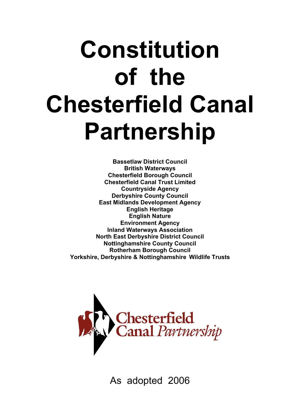# **Constitution of the Chesterfield Canal Partnership**

**Bassetlaw District Council British Waterways Chesterfield Borough Council Chesterfield Canal Trust Limited Countryside Agency Derbyshire County Council East Midlands Development Agency English Heritage English Nature Environment Agency Inland Waterways Association North East Derbyshire District Council Nottinghamshire County Council Rotherham Borough Council Yorkshire, Derbyshire & Nottinghamshire Wildlife Trusts**



As adopted 2006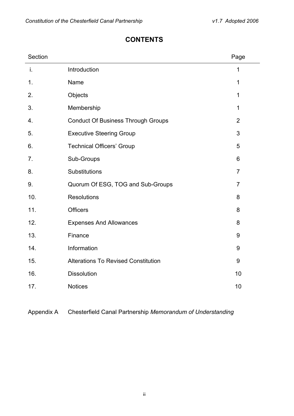#### **CONTENTS**

| Section |                                            | Page           |
|---------|--------------------------------------------|----------------|
| i.      | Introduction                               | 1              |
| 1.      | Name                                       | 1              |
| 2.      | Objects                                    | 1              |
| 3.      | Membership                                 | 1              |
| 4.      | <b>Conduct Of Business Through Groups</b>  | $\overline{2}$ |
| 5.      | <b>Executive Steering Group</b>            | 3              |
| 6.      | <b>Technical Officers' Group</b>           | 5              |
| 7.      | Sub-Groups                                 | 6              |
| 8.      | Substitutions                              | $\overline{7}$ |
| 9.      | Quorum Of ESG, TOG and Sub-Groups          | $\overline{7}$ |
| 10.     | <b>Resolutions</b>                         | 8              |
| 11.     | <b>Officers</b>                            | 8              |
| 12.     | <b>Expenses And Allowances</b>             | 8              |
| 13.     | Finance                                    | 9              |
| 14.     | Information                                | 9              |
| 15.     | <b>Alterations To Revised Constitution</b> | 9              |
| 16.     | <b>Dissolution</b>                         | 10             |
| 17.     | <b>Notices</b>                             | 10             |

Appendix A Chesterfield Canal Partnership *Memorandum of Understanding*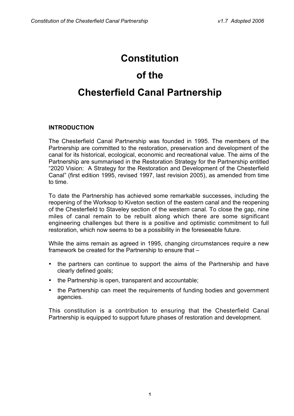## **Constitution**

# **of the Chesterfield Canal Partnership**

#### **INTRODUCTION**

The Chesterfield Canal Partnership was founded in 1995. The members of the Partnership are committed to the restoration, preservation and development of the canal for its historical, ecological, economic and recreational value. The aims of the Partnership are summarised in the Restoration Strategy for the Partnership entitled "2020 Vision: A Strategy for the Restoration and Development of the Chesterfield Canal" (first edition 1995, revised 1997, last revision 2005), as amended from time to time.

To date the Partnership has achieved some remarkable successes, including the reopening of the Worksop to Kiveton section of the eastern canal and the reopening of the Chesterfield to Staveley section of the western canal. To close the gap, nine miles of canal remain to be rebuilt along which there are some significant engineering challenges but there is a positive and optimistic commitment to full restoration, which now seems to be a possibility in the foreseeable future.

While the aims remain as agreed in 1995, changing circumstances require a new framework be created for the Partnership to ensure that –

- the partners can continue to support the aims of the Partnership and have clearly defined goals;
- the Partnership is open, transparent and accountable;
- the Partnership can meet the requirements of funding bodies and government agencies.

This constitution is a contribution to ensuring that the Chesterfield Canal Partnership is equipped to support future phases of restoration and development.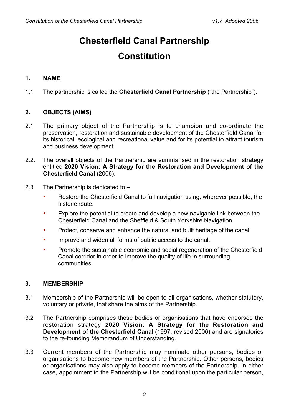# **Chesterfield Canal Partnership**

## **Constitution**

#### **1. NAME**

1.1 The partnership is called the **Chesterfield Canal Partnership** ("the Partnership").

#### **2. OBJECTS (AIMS)**

- 2.1 The primary object of the Partnership is to champion and co-ordinate the preservation, restoration and sustainable development of the Chesterfield Canal for its historical, ecological and recreational value and for its potential to attract tourism and business development.
- 2.2. The overall objects of the Partnership are summarised in the restoration strategy entitled **2020 Vision: A Strategy for the Restoration and Development of the Chesterfield Canal** (2006).
- 2.3 The Partnership is dedicated to:–
	- Restore the Chesterfield Canal to full navigation using, wherever possible, the historic route.
	- Explore the potential to create and develop a new navigable link between the Chesterfield Canal and the Sheffield & South Yorkshire Navigation.
	- Protect, conserve and enhance the natural and built heritage of the canal.
	- Improve and widen all forms of public access to the canal.
	- Promote the sustainable economic and social regeneration of the Chesterfield Canal corridor in order to improve the quality of life in surrounding communities.

#### **3. MEMBERSHIP**

- 3.1 Membership of the Partnership will be open to all organisations, whether statutory, voluntary or private, that share the aims of the Partnership.
- 3.2 The Partnership comprises those bodies or organisations that have endorsed the restoration strategy **2020 Vision: A Strategy for the Restoration and Development of the Chesterfield Canal** (1997, revised 2006) and are signatories to the re-founding Memorandum of Understanding.
- 3.3 Current members of the Partnership may nominate other persons, bodies or organisations to become new members of the Partnership. Other persons, bodies or organisations may also apply to become members of the Partnership. In either case, appointment to the Partnership will be conditional upon the particular person,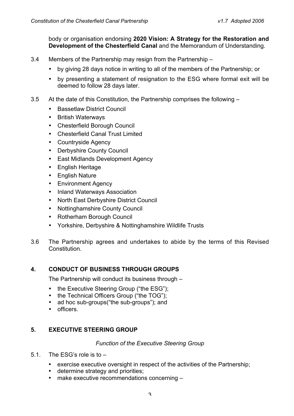body or organisation endorsing **2020 Vision: A Strategy for the Restoration and Development of the Chesterfield Canal** and the Memorandum of Understanding.

- 3.4 Members of the Partnership may resign from the Partnership
	- by giving 28 days notice in writing to all of the members of the Partnership; or
	- by presenting a statement of resignation to the ESG where formal exit will be deemed to follow 28 days later.
- 3.5 At the date of this Constitution, the Partnership comprises the following
	- Bassetlaw District Council
	- British Waterways
	- Chesterfield Borough Council
	- Chesterfield Canal Trust Limited
	- Countryside Agency
	- Derbyshire County Council
	- East Midlands Development Agency
	- English Heritage
	- English Nature
	- Environment Agency
	- Inland Waterways Association
	- North East Derbyshire District Council
	- Nottinghamshire County Council
	- Rotherham Borough Council
	- Yorkshire, Derbyshire & Nottinghamshire Wildlife Trusts
- 3.6 The Partnership agrees and undertakes to abide by the terms of this Revised **Constitution**

#### **4. CONDUCT OF BUSINESS THROUGH GROUPS**

The Partnership will conduct its business through –

- the Executive Steering Group ("the ESG");
- the Technical Officers Group ("the TOG");
- ad hoc sub-groups("the sub-groups"); and
- officers.

#### **5. EXECUTIVE STEERING GROUP**

#### *Function of the Executive Steering Group*

- 5.1. The ESG's role is to
	- exercise executive oversight in respect of the activities of the Partnership;
	- determine strategy and priorities;
	- make executive recommendations concerning –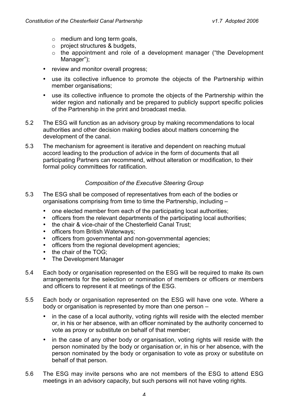- $\circ$  medium and long term goals,
- o project structures & budgets,
- $\circ$  the appointment and role of a development manager ("the Development Manager");
- review and monitor overall progress;
- use its collective influence to promote the objects of the Partnership within member organisations;
- use its collective influence to promote the objects of the Partnership within the wider region and nationally and be prepared to publicly support specific policies of the Partnership in the print and broadcast media.
- 5.2 The ESG will function as an advisory group by making recommendations to local authorities and other decision making bodies about matters concerning the development of the canal.
- 5.3 The mechanism for agreement is iterative and dependent on reaching mutual accord leading to the production of advice in the form of documents that all participating Partners can recommend, without alteration or modification, to their formal policy committees for ratification.

#### *Composition of the Executive Steering Group*

- 5.3 The ESG shall be composed of representatives from each of the bodies or organisations comprising from time to time the Partnership, including –
	- one elected member from each of the participating local authorities;
	- officers from the relevant departments of the participating local authorities;
	- the chair & vice-chair of the Chesterfield Canal Trust;
	- officers from British Waterways;
	- officers from governmental and non-governmental agencies;
	- officers from the regional development agencies;
	- the chair of the TOG:
	- The Development Manager
- 5.4 Each body or organisation represented on the ESG will be required to make its own arrangements for the selection or nomination of members or officers or members and officers to represent it at meetings of the ESG.
- 5.5 Each body or organisation represented on the ESG will have one vote. Where a body or organisation is represented by more than one person –
	- in the case of a local authority, voting rights will reside with the elected member or, in his or her absence, with an officer nominated by the authority concerned to vote as proxy or substitute on behalf of that member;
	- in the case of any other body or organisation, voting rights will reside with the person nominated by the body or organisation or, in his or her absence, with the person nominated by the body or organisation to vote as proxy or substitute on behalf of that person.
- 5.6 The ESG may invite persons who are not members of the ESG to attend ESG meetings in an advisory capacity, but such persons will not have voting rights.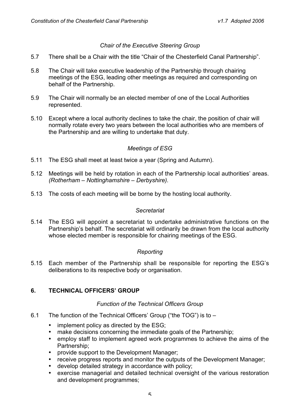#### *Chair of the Executive Steering Group*

- 5.7 There shall be a Chair with the title "Chair of the Chesterfield Canal Partnership".
- 5.8 The Chair will take executive leadership of the Partnership through chairing meetings of the ESG, leading other meetings as required and corresponding on behalf of the Partnership.
- 5.9 The Chair will normally be an elected member of one of the Local Authorities represented.
- 5.10 Except where a local authority declines to take the chair, the position of chair will normally rotate every two years between the local authorities who are members of the Partnership and are willing to undertake that duty.

#### *Meetings of ESG*

- 5.11 The ESG shall meet at least twice a year (Spring and Autumn).
- 5.12 Meetings will be held by rotation in each of the Partnership local authorities' areas. *(Rotherham – Nottinghamshire – Derbyshire).*
- 5.13 The costs of each meeting will be borne by the hosting local authority.

#### *Secretariat*

5.14 The ESG will appoint a secretariat to undertake administrative functions on the Partnership's behalf. The secretariat will ordinarily be drawn from the local authority whose elected member is responsible for chairing meetings of the ESG.

#### *Reporting*

5.15 Each member of the Partnership shall be responsible for reporting the ESG's deliberations to its respective body or organisation.

#### **6. TECHNICAL OFFICERS' GROUP**

#### *Function of the Technical Officers Group*

- 6.1 The function of the Technical Officers' Group ("the TOG") is to
	- implement policy as directed by the ESG;
	- make decisions concerning the immediate goals of the Partnership;
	- employ staff to implement agreed work programmes to achieve the aims of the Partnership;
	- provide support to the Development Manager;
	- receive progress reports and monitor the outputs of the Development Manager;
	- develop detailed strategy in accordance with policy;
	- exercise managerial and detailed technical oversight of the various restoration and development programmes;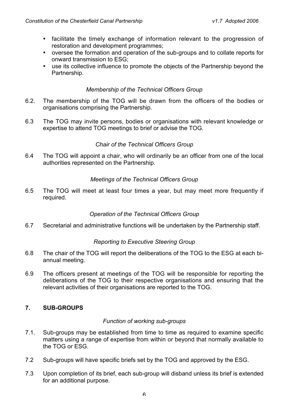- facilitate the timely exchange of information relevant to the progression of restoration and development programmes;
- oversee the formation and operation of the sub-groups and to collate reports for onward transmission to ESG;
- use its collective influence to promote the objects of the Partnership beyond the Partnership.

#### *Membership of the Technical Officers Group*

- 6.2. The membership of the TOG will be drawn from the officers of the bodies or organisations comprising the Partnership.
- 6.3 The TOG may invite persons, bodies or organisations with relevant knowledge or expertise to attend TOG meetings to brief or advise the TOG.

#### *Chair of the Technical Officers Group*

6.4 The TOG will appoint a chair, who will ordinarily be an officer from one of the local authorities represented on the Partnership.

#### *Meetings of the Technical Officers Group*

6.5 The TOG will meet at least four times a year, but may meet more frequently if required.

#### *Operation of the Technical Officers Group*

6.7 Secretarial and administrative functions will be undertaken by the Partnership staff.

#### *Reporting to Executive Steering Group*

- 6.8 The chair of the TOG will report the deliberations of the TOG to the ESG at each biannual meeting.
- 6.9 The officers present at meetings of the TOG will be responsible for reporting the deliberations of the TOG to their respective organisations and ensuring that the relevant activities of their organisations are reported to the TOG.

#### **7. SUB-GROUPS**

#### *Function of working sub-groups*

- 7.1. Sub-groups may be established from time to time as required to examine specific matters using a range of expertise from within or beyond that normally available to the TOG or ESG.
- 7.2 Sub-groups will have specific briefs set by the TOG and approved by the ESG.
- 7.3 Upon completion of its brief, each sub-group will disband unless its brief is extended for an additional purpose.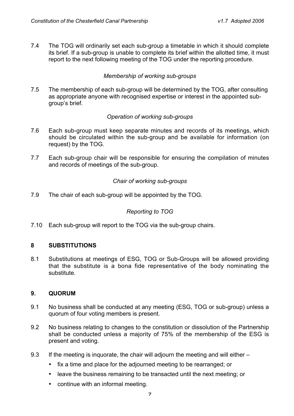7.4 The TOG will ordinarily set each sub-group a timetable in which it should complete its brief. If a sub-group is unable to complete its brief within the allotted time, it must report to the next following meeting of the TOG under the reporting procedure.

#### *Membership of working sub-groups*

7.5 The membership of each sub-group will be determined by the TOG, after consulting as appropriate anyone with recognised expertise or interest in the appointed subgroup's brief.

#### *Operation of working sub-groups*

- 7.6 Each sub-group must keep separate minutes and records of its meetings, which should be circulated within the sub-group and be available for information (on request) by the TOG.
- 7.7 Each sub-group chair will be responsible for ensuring the compilation of minutes and records of meetings of the sub-group.

#### *Chair of working sub-groups*

7.9 The chair of each sub-group will be appointed by the TOG.

#### *Reporting to TOG*

7.10 Each sub-group will report to the TOG via the sub-group chairs.

#### **8 SUBSTITUTIONS**

8.1 Substitutions at meetings of ESG, TOG or Sub-Groups will be allowed providing that the substitute is a bona fide representative of the body nominating the substitute.

#### **9. QUORUM**

- 9.1 No business shall be conducted at any meeting (ESG, TOG or sub-group) unless a quorum of four voting members is present.
- 9.2 No business relating to changes to the constitution or dissolution of the Partnership shall be conducted unless a majority of 75% of the membership of the ESG is present and voting.
- 9.3 If the meeting is inquorate, the chair will adjourn the meeting and will either
	- fix a time and place for the adjourned meeting to be rearranged; or
	- leave the business remaining to be transacted until the next meeting; or
	- continue with an informal meeting.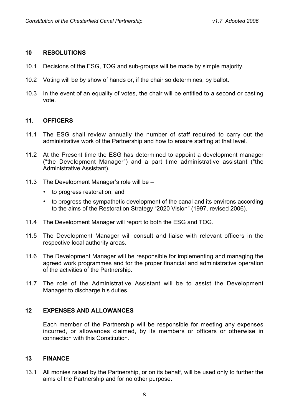#### **10 RESOLUTIONS**

- 10.1 Decisions of the ESG, TOG and sub-groups will be made by simple majority.
- 10.2 Voting will be by show of hands or, if the chair so determines, by ballot.
- 10.3 In the event of an equality of votes, the chair will be entitled to a second or casting vote.

#### **11. OFFICERS**

- 11.1 The ESG shall review annually the number of staff required to carry out the administrative work of the Partnership and how to ensure staffing at that level.
- 11.2 At the Present time the ESG has determined to appoint a development manager ("the Development Manager") and a part time administrative assistant ("the Administrative Assistant).
- 11.3 The Development Manager's role will be
	- to progress restoration; and
	- to progress the sympathetic development of the canal and its environs according to the aims of the Restoration Strategy "2020 Vision" (1997, revised 2006).
- 11.4 The Development Manager will report to both the ESG and TOG.
- 11.5 The Development Manager will consult and liaise with relevant officers in the respective local authority areas.
- 11.6 The Development Manager will be responsible for implementing and managing the agreed work programmes and for the proper financial and administrative operation of the activities of the Partnership.
- 11.7 The role of the Administrative Assistant will be to assist the Development Manager to discharge his duties.

#### **12 EXPENSES AND ALLOWANCES**

Each member of the Partnership will be responsible for meeting any expenses incurred, or allowances claimed, by its members or officers or otherwise in connection with this Constitution.

#### **13 FINANCE**

13.1 All monies raised by the Partnership, or on its behalf, will be used only to further the aims of the Partnership and for no other purpose.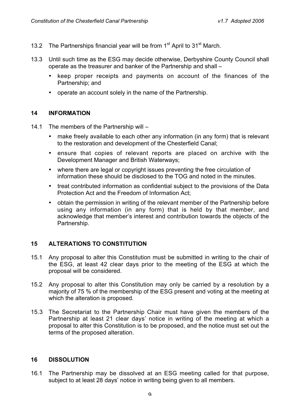- 13.2 The Partnerships financial year will be from  $1<sup>st</sup>$  April to  $31<sup>st</sup>$  March.
- 13.3 Until such time as the ESG may decide otherwise, Derbyshire County Council shall operate as the treasurer and banker of the Partnership and shall –
	- keep proper receipts and payments on account of the finances of the Partnership; and
	- operate an account solely in the name of the Partnership.

#### **14 INFORMATION**

- 14.1 The members of the Partnership will
	- make freely available to each other any information (in any form) that is relevant to the restoration and development of the Chesterfield Canal;
	- ensure that copies of relevant reports are placed on archive with the Development Manager and British Waterways;
	- where there are legal or copyright issues preventing the free circulation of information these should be disclosed to the TOG and noted in the minutes.
	- treat contributed information as confidential subject to the provisions of the Data Protection Act and the Freedom of Information Act;
	- obtain the permission in writing of the relevant member of the Partnership before using any information (in any form) that is held by that member, and acknowledge that member's interest and contribution towards the objects of the Partnership.

#### **15 ALTERATIONS TO CONSTITUTION**

- 15.1 Any proposal to alter this Constitution must be submitted in writing to the chair of the ESG, at least 42 clear days prior to the meeting of the ESG at which the proposal will be considered.
- 15.2 Any proposal to alter this Constitution may only be carried by a resolution by a majority of 75 % of the membership of the ESG present and voting at the meeting at which the alteration is proposed.
- 15.3 The Secretariat to the Partnership Chair must have given the members of the Partnership at least 21 clear days' notice in writing of the meeting at which a proposal to alter this Constitution is to be proposed, and the notice must set out the terms of the proposed alteration.

#### **16 DISSOLUTION**

16.1 The Partnership may be dissolved at an ESG meeting called for that purpose, subject to at least 28 days' notice in writing being given to all members.